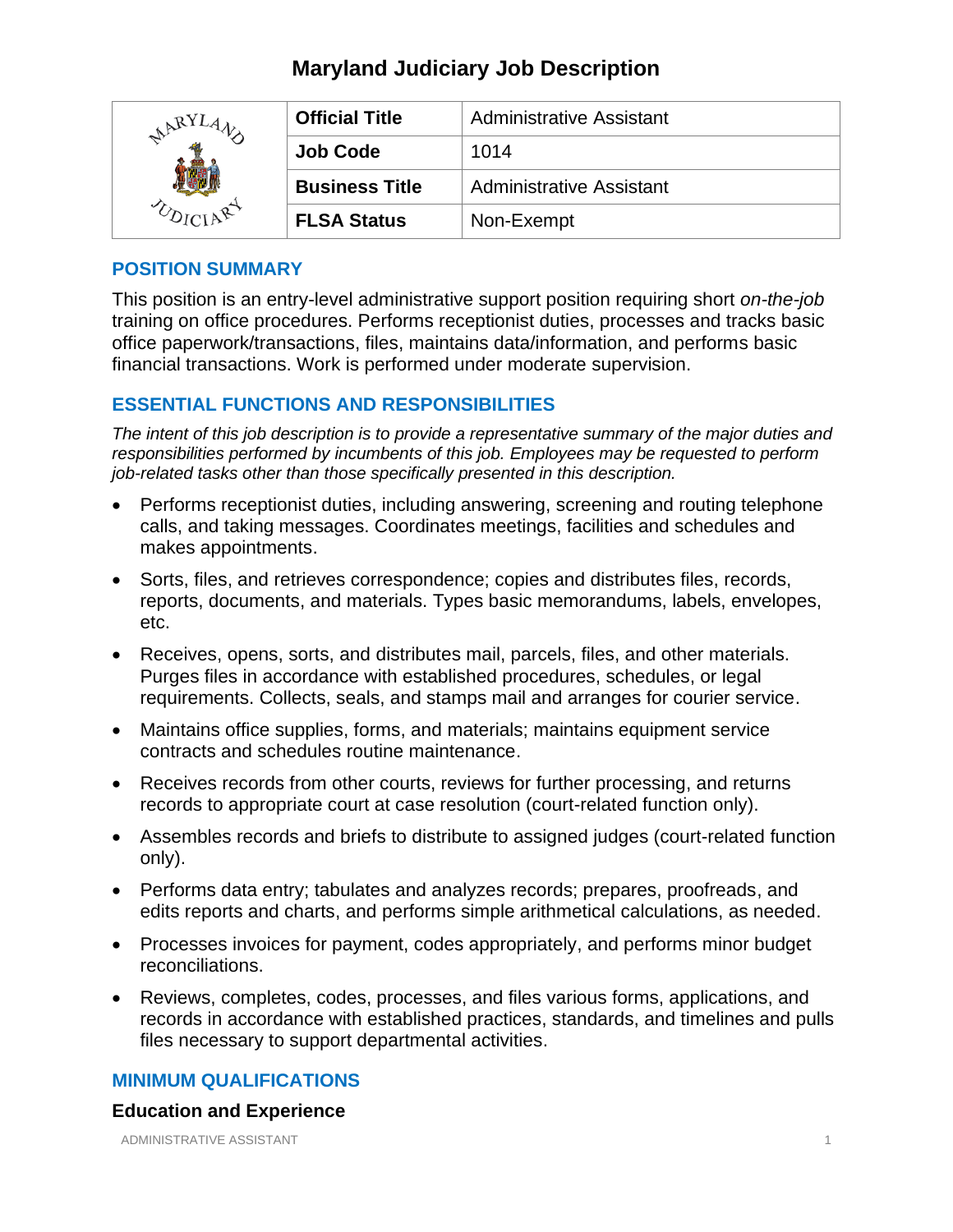# **Maryland Judiciary Job Description**

| ARY <sup>T</sup> | <b>Official Title</b> | <b>Administrative Assistant</b> |
|------------------|-----------------------|---------------------------------|
|                  | <b>Job Code</b>       | 1014                            |
|                  | <b>Business Title</b> | <b>Administrative Assistant</b> |
|                  | <b>FLSA Status</b>    | Non-Exempt                      |

## **POSITION SUMMARY**

This position is an entry-level administrative support position requiring short *on-the-job* training on office procedures. Performs receptionist duties, processes and tracks basic office paperwork/transactions, files, maintains data/information, and performs basic financial transactions. Work is performed under moderate supervision.

## **ESSENTIAL FUNCTIONS AND RESPONSIBILITIES**

*The intent of this job description is to provide a representative summary of the major duties and responsibilities performed by incumbents of this job. Employees may be requested to perform job-related tasks other than those specifically presented in this description.*

- Performs receptionist duties, including answering, screening and routing telephone calls, and taking messages. Coordinates meetings, facilities and schedules and makes appointments.
- Sorts, files, and retrieves correspondence; copies and distributes files, records, reports, documents, and materials. Types basic memorandums, labels, envelopes, etc.
- Receives, opens, sorts, and distributes mail, parcels, files, and other materials. Purges files in accordance with established procedures, schedules, or legal requirements. Collects, seals, and stamps mail and arranges for courier service.
- Maintains office supplies, forms, and materials; maintains equipment service contracts and schedules routine maintenance.
- Receives records from other courts, reviews for further processing, and returns records to appropriate court at case resolution (court-related function only).
- Assembles records and briefs to distribute to assigned judges (court-related function only).
- Performs data entry; tabulates and analyzes records; prepares, proofreads, and edits reports and charts, and performs simple arithmetical calculations, as needed.
- Processes invoices for payment, codes appropriately, and performs minor budget reconciliations.
- Reviews, completes, codes, processes, and files various forms, applications, and records in accordance with established practices, standards, and timelines and pulls files necessary to support departmental activities.

## **MINIMUM QUALIFICATIONS**

### **Education and Experience**

ADMINISTRATIVE ASSISTANT 1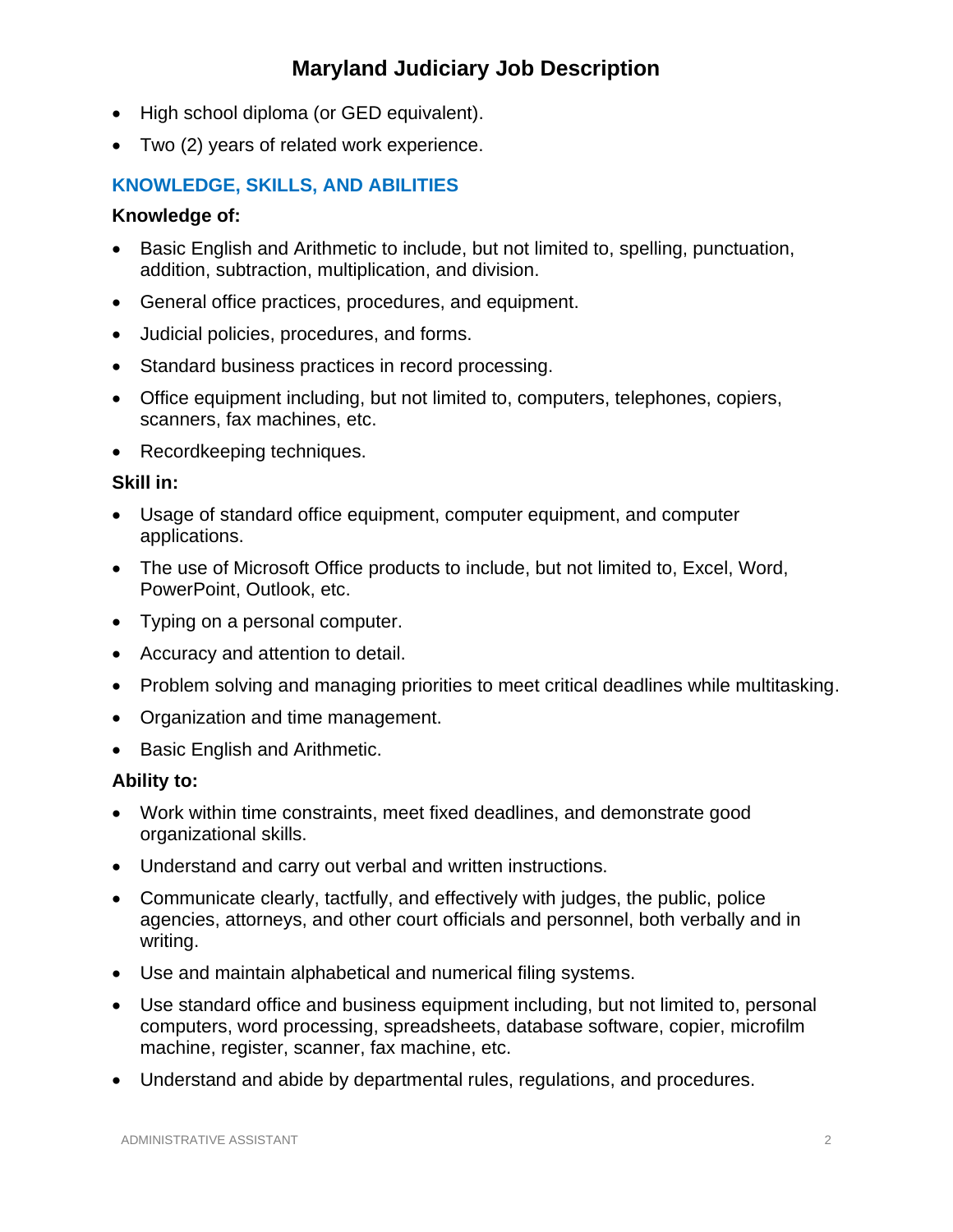# **Maryland Judiciary Job Description**

- High school diploma (or GED equivalent).
- Two (2) years of related work experience.

## **KNOWLEDGE, SKILLS, AND ABILITIES**

### **Knowledge of:**

- Basic English and Arithmetic to include, but not limited to, spelling, punctuation, addition, subtraction, multiplication, and division.
- General office practices, procedures, and equipment.
- Judicial policies, procedures, and forms.
- Standard business practices in record processing.
- Office equipment including, but not limited to, computers, telephones, copiers, scanners, fax machines, etc.
- Recordkeeping techniques.

#### **Skill in:**

- Usage of standard office equipment, computer equipment, and computer applications.
- The use of Microsoft Office products to include, but not limited to, Excel, Word, PowerPoint, Outlook, etc.
- Typing on a personal computer.
- Accuracy and attention to detail.
- Problem solving and managing priorities to meet critical deadlines while multitasking.
- Organization and time management.
- Basic English and Arithmetic.

#### **Ability to:**

- Work within time constraints, meet fixed deadlines, and demonstrate good organizational skills.
- Understand and carry out verbal and written instructions.
- Communicate clearly, tactfully, and effectively with judges, the public, police agencies, attorneys, and other court officials and personnel, both verbally and in writing.
- Use and maintain alphabetical and numerical filing systems.
- Use standard office and business equipment including, but not limited to, personal computers, word processing, spreadsheets, database software, copier, microfilm machine, register, scanner, fax machine, etc.
- Understand and abide by departmental rules, regulations, and procedures.